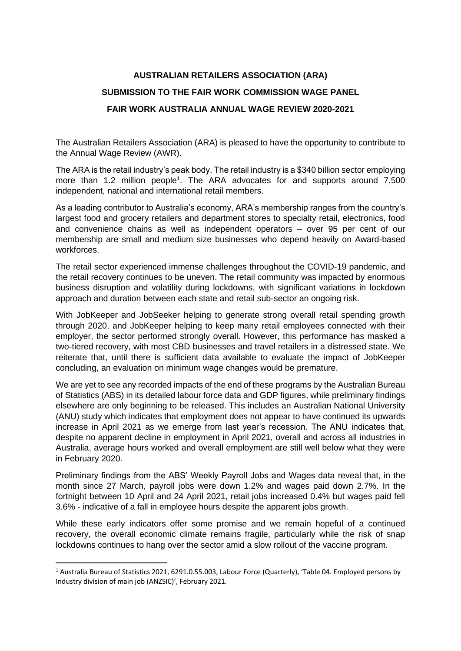## **AUSTRALIAN RETAILERS ASSOCIATION (ARA) SUBMISSION TO THE FAIR WORK COMMISSION WAGE PANEL FAIR WORK AUSTRALIA ANNUAL WAGE REVIEW 2020-2021**

The Australian Retailers Association (ARA) is pleased to have the opportunity to contribute to the Annual Wage Review (AWR).

The ARA is the retail industry's peak body. The retail industry is a \$340 billion sector employing more than 1.2 million people<sup>1</sup>. The ARA advocates for and supports around 7,500 independent, national and international retail members.

As a leading contributor to Australia's economy, ARA's membership ranges from the country's largest food and grocery retailers and department stores to specialty retail, electronics, food and convenience chains as well as independent operators – over 95 per cent of our membership are small and medium size businesses who depend heavily on Award-based workforces.

The retail sector experienced immense challenges throughout the COVID-19 pandemic, and the retail recovery continues to be uneven. The retail community was impacted by enormous business disruption and volatility during lockdowns, with significant variations in lockdown approach and duration between each state and retail sub-sector an ongoing risk.

With JobKeeper and JobSeeker helping to generate strong overall retail spending growth through 2020, and JobKeeper helping to keep many retail employees connected with their employer, the sector performed strongly overall. However, this performance has masked a two-tiered recovery, with most CBD businesses and travel retailers in a distressed state. We reiterate that, until there is sufficient data available to evaluate the impact of JobKeeper concluding, an evaluation on minimum wage changes would be premature.

We are yet to see any recorded impacts of the end of these programs by the Australian Bureau of Statistics (ABS) in its detailed labour force data and GDP figures, while preliminary findings elsewhere are only beginning to be released. This includes an Australian National University (ANU) study which indicates that employment does not appear to have continued its upwards increase in April 2021 as we emerge from last year's recession. The ANU indicates that, despite no apparent decline in employment in April 2021, overall and across all industries in Australia, average hours worked and overall employment are still well below what they were in February 2020.

Preliminary findings from the ABS' Weekly Payroll Jobs and Wages data reveal that, in the month since 27 March, payroll jobs were down 1.2% and wages paid down 2.7%. In the fortnight between 10 April and 24 April 2021, retail jobs increased 0.4% but wages paid fell 3.6% - indicative of a fall in employee hours despite the apparent jobs growth.

While these early indicators offer some promise and we remain hopeful of a continued recovery, the overall economic climate remains fragile, particularly while the risk of snap lockdowns continues to hang over the sector amid a slow rollout of the vaccine program.

<sup>1</sup> Australia Bureau of Statistics 2021, 6291.0.55.003, Labour Force (Quarterly), 'Table 04. Employed persons by Industry division of main job (ANZSIC)', February 2021.